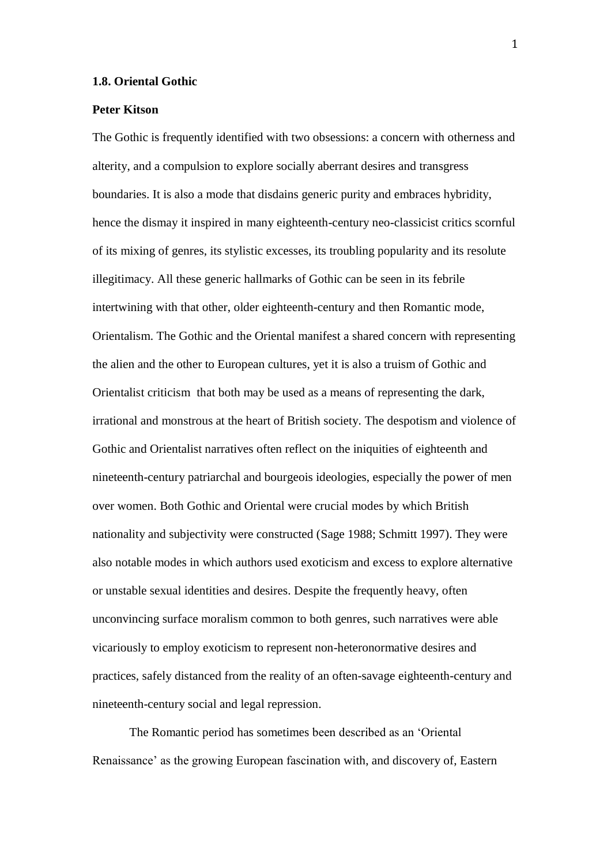## **1.8. Oriental Gothic**

## **Peter Kitson**

The Gothic is frequently identified with two obsessions: a concern with otherness and alterity, and a compulsion to explore socially aberrant desires and transgress boundaries. It is also a mode that disdains generic purity and embraces hybridity, hence the dismay it inspired in many eighteenth-century neo-classicist critics scornful of its mixing of genres, its stylistic excesses, its troubling popularity and its resolute illegitimacy. All these generic hallmarks of Gothic can be seen in its febrile intertwining with that other, older eighteenth-century and then Romantic mode, Orientalism. The Gothic and the Oriental manifest a shared concern with representing the alien and the other to European cultures, yet it is also a truism of Gothic and Orientalist criticism that both may be used as a means of representing the dark, irrational and monstrous at the heart of British society. The despotism and violence of Gothic and Orientalist narratives often reflect on the iniquities of eighteenth and nineteenth-century patriarchal and bourgeois ideologies, especially the power of men over women. Both Gothic and Oriental were crucial modes by which British nationality and subjectivity were constructed (Sage 1988; Schmitt 1997). They were also notable modes in which authors used exoticism and excess to explore alternative or unstable sexual identities and desires. Despite the frequently heavy, often unconvincing surface moralism common to both genres, such narratives were able vicariously to employ exoticism to represent non-heteronormative desires and practices, safely distanced from the reality of an often-savage eighteenth-century and nineteenth-century social and legal repression.

The Romantic period has sometimes been described as an 'Oriental Renaissance' as the growing European fascination with, and discovery of, Eastern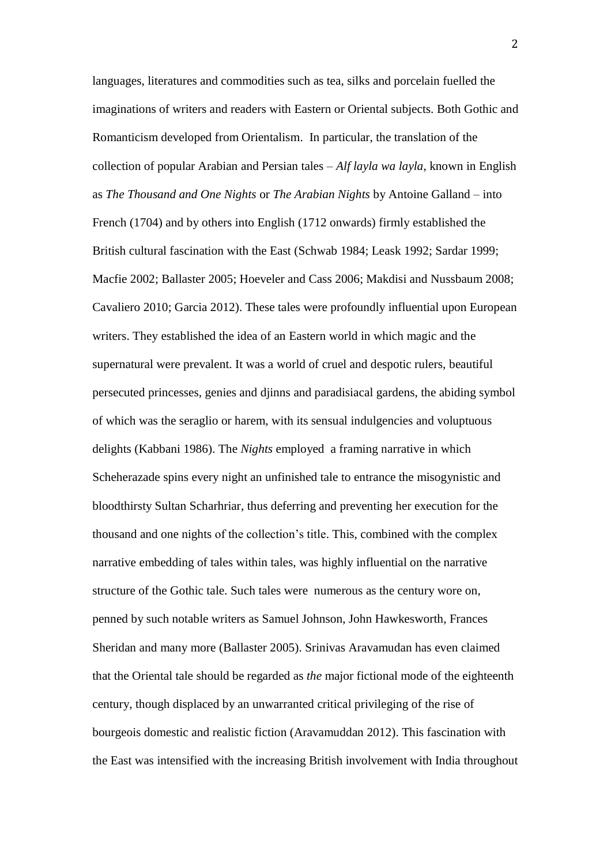languages, literatures and commodities such as tea, silks and porcelain fuelled the imaginations of writers and readers with Eastern or Oriental subjects. Both Gothic and Romanticism developed from Orientalism. In particular, the translation of the collection of popular Arabian and Persian tales – *Alf layla wa layla*, known in English as *The Thousand and One Nights* or *The Arabian Nights* by Antoine Galland – into French (1704) and by others into English (1712 onwards) firmly established the British cultural fascination with the East (Schwab 1984; Leask 1992; Sardar 1999; Macfie 2002; Ballaster 2005; Hoeveler and Cass 2006; Makdisi and Nussbaum 2008; Cavaliero 2010; Garcia 2012). These tales were profoundly influential upon European writers. They established the idea of an Eastern world in which magic and the supernatural were prevalent. It was a world of cruel and despotic rulers, beautiful persecuted princesses, genies and djinns and paradisiacal gardens, the abiding symbol of which was the seraglio or harem, with its sensual indulgencies and voluptuous delights (Kabbani 1986). The *Nights* employed a framing narrative in which Scheherazade spins every night an unfinished tale to entrance the misogynistic and bloodthirsty Sultan Scharhriar, thus deferring and preventing her execution for the thousand and one nights of the collection's title. This, combined with the complex narrative embedding of tales within tales, was highly influential on the narrative structure of the Gothic tale. Such tales were numerous as the century wore on, penned by such notable writers as Samuel Johnson, John Hawkesworth, Frances Sheridan and many more (Ballaster 2005). Srinivas Aravamudan has even claimed that the Oriental tale should be regarded as *the* major fictional mode of the eighteenth century, though displaced by an unwarranted critical privileging of the rise of bourgeois domestic and realistic fiction (Aravamuddan 2012). This fascination with the East was intensified with the increasing British involvement with India throughout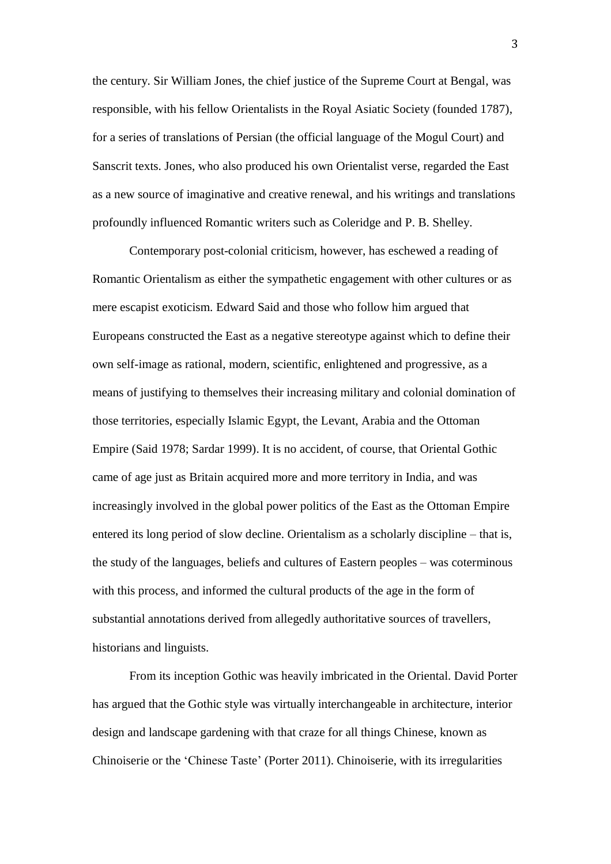the century. Sir William Jones, the chief justice of the Supreme Court at Bengal, was responsible, with his fellow Orientalists in the Royal Asiatic Society (founded 1787), for a series of translations of Persian (the official language of the Mogul Court) and Sanscrit texts. Jones, who also produced his own Orientalist verse, regarded the East as a new source of imaginative and creative renewal, and his writings and translations profoundly influenced Romantic writers such as Coleridge and P. B. Shelley.

Contemporary post-colonial criticism, however, has eschewed a reading of Romantic Orientalism as either the sympathetic engagement with other cultures or as mere escapist exoticism. Edward Said and those who follow him argued that Europeans constructed the East as a negative stereotype against which to define their own self-image as rational, modern, scientific, enlightened and progressive, as a means of justifying to themselves their increasing military and colonial domination of those territories, especially Islamic Egypt, the Levant, Arabia and the Ottoman Empire (Said 1978; Sardar 1999). It is no accident, of course, that Oriental Gothic came of age just as Britain acquired more and more territory in India, and was increasingly involved in the global power politics of the East as the Ottoman Empire entered its long period of slow decline. Orientalism as a scholarly discipline – that is, the study of the languages, beliefs and cultures of Eastern peoples – was coterminous with this process, and informed the cultural products of the age in the form of substantial annotations derived from allegedly authoritative sources of travellers, historians and linguists.

From its inception Gothic was heavily imbricated in the Oriental. David Porter has argued that the Gothic style was virtually interchangeable in architecture, interior design and landscape gardening with that craze for all things Chinese, known as Chinoiserie or the 'Chinese Taste' (Porter 2011). Chinoiserie, with its irregularities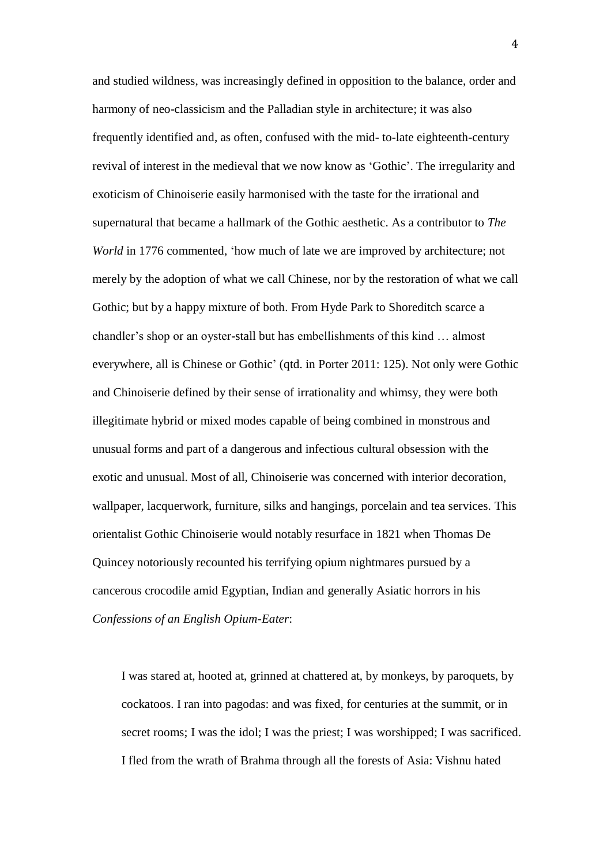and studied wildness, was increasingly defined in opposition to the balance, order and harmony of neo-classicism and the Palladian style in architecture; it was also frequently identified and, as often, confused with the mid- to-late eighteenth-century revival of interest in the medieval that we now know as 'Gothic'. The irregularity and exoticism of Chinoiserie easily harmonised with the taste for the irrational and supernatural that became a hallmark of the Gothic aesthetic. As a contributor to *The World* in 1776 commented, 'how much of late we are improved by architecture; not merely by the adoption of what we call Chinese, nor by the restoration of what we call Gothic; but by a happy mixture of both. From Hyde Park to Shoreditch scarce a chandler's shop or an oyster-stall but has embellishments of this kind … almost everywhere, all is Chinese or Gothic' (qtd. in Porter 2011: 125). Not only were Gothic and Chinoiserie defined by their sense of irrationality and whimsy, they were both illegitimate hybrid or mixed modes capable of being combined in monstrous and unusual forms and part of a dangerous and infectious cultural obsession with the exotic and unusual. Most of all, Chinoiserie was concerned with interior decoration, wallpaper, lacquerwork, furniture, silks and hangings, porcelain and tea services. This orientalist Gothic Chinoiserie would notably resurface in 1821 when Thomas De Quincey notoriously recounted his terrifying opium nightmares pursued by a cancerous crocodile amid Egyptian, Indian and generally Asiatic horrors in his *Confessions of an English Opium-Eater*:

I was stared at, hooted at, grinned at chattered at, by monkeys, by paroquets, by cockatoos. I ran into pagodas: and was fixed, for centuries at the summit, or in secret rooms; I was the idol; I was the priest; I was worshipped; I was sacrificed. I fled from the wrath of Brahma through all the forests of Asia: Vishnu hated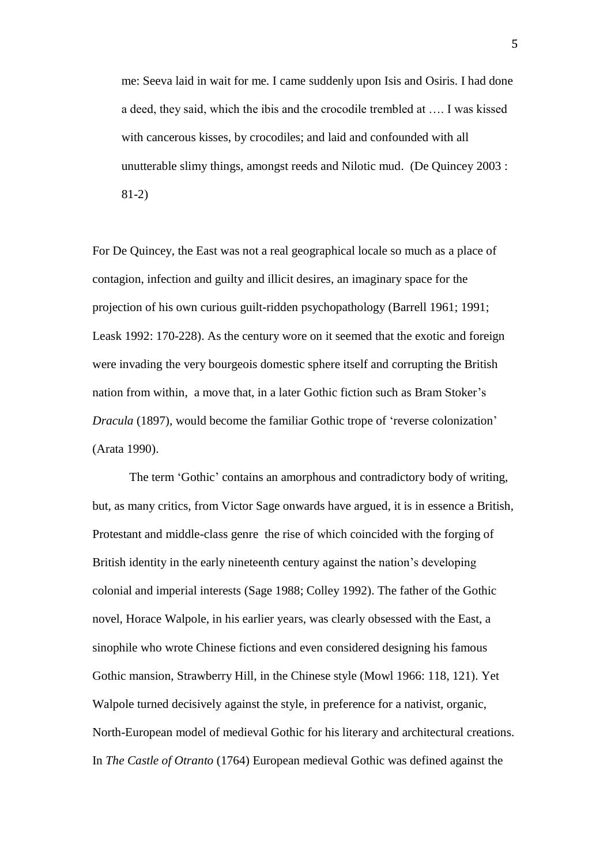me: Seeva laid in wait for me. I came suddenly upon Isis and Osiris. I had done a deed, they said, which the ibis and the crocodile trembled at …. I was kissed with cancerous kisses, by crocodiles; and laid and confounded with all unutterable slimy things, amongst reeds and Nilotic mud. (De Quincey 2003 : 81-2)

For De Quincey, the East was not a real geographical locale so much as a place of contagion, infection and guilty and illicit desires, an imaginary space for the projection of his own curious guilt-ridden psychopathology (Barrell 1961; 1991; Leask 1992: 170-228). As the century wore on it seemed that the exotic and foreign were invading the very bourgeois domestic sphere itself and corrupting the British nation from within, a move that, in a later Gothic fiction such as Bram Stoker's *Dracula* (1897), would become the familiar Gothic trope of 'reverse colonization' (Arata 1990).

The term 'Gothic' contains an amorphous and contradictory body of writing, but, as many critics, from Victor Sage onwards have argued, it is in essence a British, Protestant and middle-class genre the rise of which coincided with the forging of British identity in the early nineteenth century against the nation's developing colonial and imperial interests (Sage 1988; Colley 1992). The father of the Gothic novel, Horace Walpole, in his earlier years, was clearly obsessed with the East, a sinophile who wrote Chinese fictions and even considered designing his famous Gothic mansion, Strawberry Hill, in the Chinese style (Mowl 1966: 118, 121). Yet Walpole turned decisively against the style, in preference for a nativist, organic, North-European model of medieval Gothic for his literary and architectural creations. In *The Castle of Otranto* (1764) European medieval Gothic was defined against the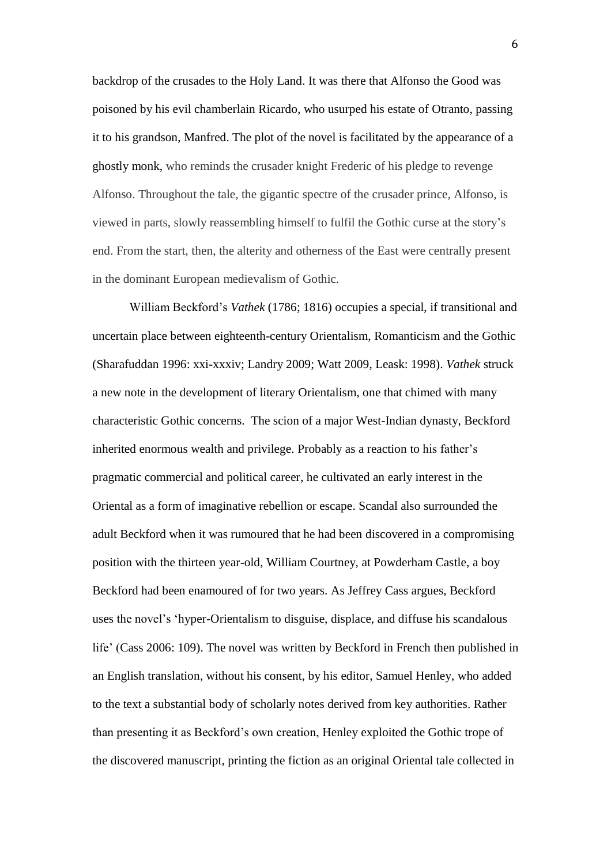backdrop of the crusades to the Holy Land. It was there that Alfonso the Good was poisoned by his evil chamberlain Ricardo, who usurped his estate of Otranto, passing it to his grandson, Manfred. The plot of the novel is facilitated by the appearance of a ghostly monk, who reminds the crusader knight Frederic of his pledge to revenge Alfonso. Throughout the tale, the gigantic spectre of the crusader prince, Alfonso, is viewed in parts, slowly reassembling himself to fulfil the Gothic curse at the story's end. From the start, then, the alterity and otherness of the East were centrally present in the dominant European medievalism of Gothic.

William Beckford's *Vathek* (1786; 1816) occupies a special, if transitional and uncertain place between eighteenth-century Orientalism, Romanticism and the Gothic (Sharafuddan 1996: xxi-xxxiv; Landry 2009; Watt 2009, Leask: 1998). *Vathek* struck a new note in the development of literary Orientalism, one that chimed with many characteristic Gothic concerns. The scion of a major West-Indian dynasty, Beckford inherited enormous wealth and privilege. Probably as a reaction to his father's pragmatic commercial and political career, he cultivated an early interest in the Oriental as a form of imaginative rebellion or escape. Scandal also surrounded the adult Beckford when it was rumoured that he had been discovered in a compromising position with the thirteen year-old, William Courtney, at Powderham Castle, a boy Beckford had been enamoured of for two years. As Jeffrey Cass argues, Beckford uses the novel's 'hyper-Orientalism to disguise, displace, and diffuse his scandalous life' (Cass 2006: 109). The novel was written by Beckford in French then published in an English translation, without his consent, by his editor, Samuel Henley, who added to the text a substantial body of scholarly notes derived from key authorities. Rather than presenting it as Beckford's own creation, Henley exploited the Gothic trope of the discovered manuscript, printing the fiction as an original Oriental tale collected in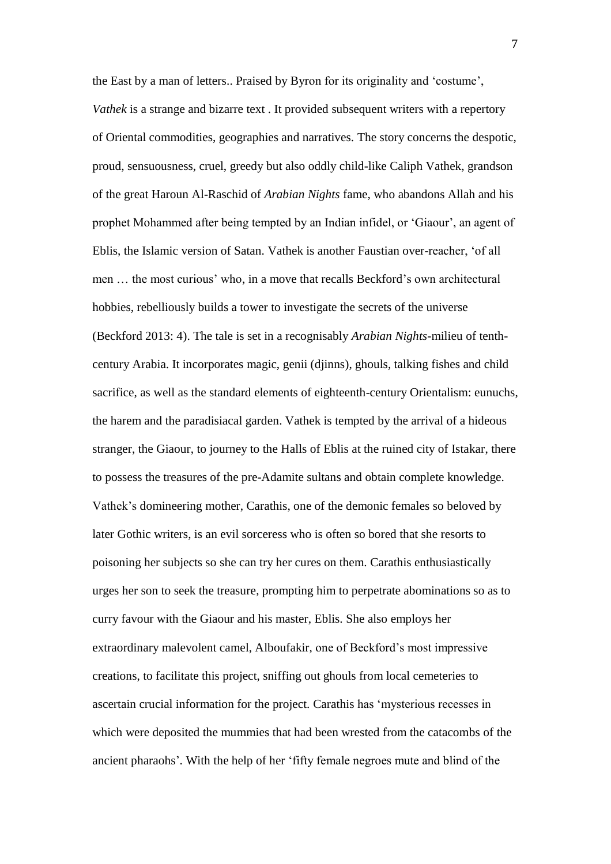the East by a man of letters.. Praised by Byron for its originality and 'costume', *Vathek* is a strange and bizarre text . It provided subsequent writers with a repertory of Oriental commodities, geographies and narratives. The story concerns the despotic, proud, sensuousness, cruel, greedy but also oddly child-like Caliph Vathek, grandson of the great Haroun Al-Raschid of *Arabian Nights* fame, who abandons Allah and his prophet Mohammed after being tempted by an Indian infidel, or 'Giaour', an agent of Eblis, the Islamic version of Satan. Vathek is another Faustian over-reacher, 'of all men … the most curious' who, in a move that recalls Beckford's own architectural hobbies, rebelliously builds a tower to investigate the secrets of the universe (Beckford 2013: 4). The tale is set in a recognisably *Arabian Nights*-milieu of tenthcentury Arabia. It incorporates magic, genii (djinns), ghouls, talking fishes and child sacrifice, as well as the standard elements of eighteenth-century Orientalism: eunuchs, the harem and the paradisiacal garden. Vathek is tempted by the arrival of a hideous stranger, the Giaour, to journey to the Halls of Eblis at the ruined city of Istakar, there to possess the treasures of the pre-Adamite sultans and obtain complete knowledge. Vathek's domineering mother, Carathis, one of the demonic females so beloved by later Gothic writers, is an evil sorceress who is often so bored that she resorts to poisoning her subjects so she can try her cures on them. Carathis enthusiastically urges her son to seek the treasure, prompting him to perpetrate abominations so as to curry favour with the Giaour and his master, Eblis. She also employs her extraordinary malevolent camel, Alboufakir, one of Beckford's most impressive creations, to facilitate this project, sniffing out ghouls from local cemeteries to ascertain crucial information for the project. Carathis has 'mysterious recesses in which were deposited the mummies that had been wrested from the catacombs of the ancient pharaohs'. With the help of her 'fifty female negroes mute and blind of the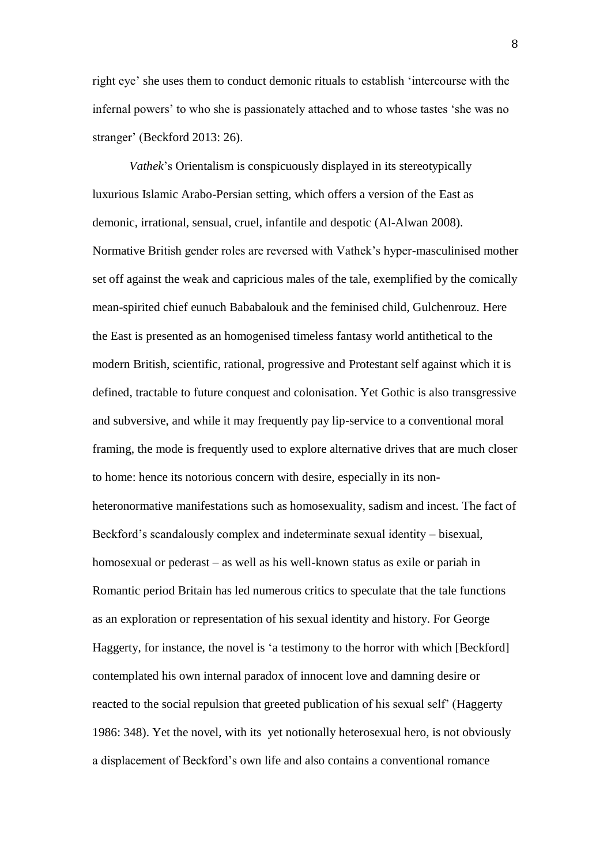right eye' she uses them to conduct demonic rituals to establish 'intercourse with the infernal powers' to who she is passionately attached and to whose tastes 'she was no stranger' (Beckford 2013: 26).

*Vathek*'s Orientalism is conspicuously displayed in its stereotypically luxurious Islamic Arabo-Persian setting, which offers a version of the East as demonic, irrational, sensual, cruel, infantile and despotic (Al-Alwan 2008). Normative British gender roles are reversed with Vathek's hyper-masculinised mother set off against the weak and capricious males of the tale, exemplified by the comically mean-spirited chief eunuch Bababalouk and the feminised child, Gulchenrouz. Here the East is presented as an homogenised timeless fantasy world antithetical to the modern British, scientific, rational, progressive and Protestant self against which it is defined, tractable to future conquest and colonisation. Yet Gothic is also transgressive and subversive, and while it may frequently pay lip-service to a conventional moral framing, the mode is frequently used to explore alternative drives that are much closer to home: hence its notorious concern with desire, especially in its nonheteronormative manifestations such as homosexuality, sadism and incest. The fact of Beckford's scandalously complex and indeterminate sexual identity – bisexual, homosexual or pederast – as well as his well-known status as exile or pariah in Romantic period Britain has led numerous critics to speculate that the tale functions as an exploration or representation of his sexual identity and history. For George Haggerty, for instance, the novel is 'a testimony to the horror with which [Beckford] contemplated his own internal paradox of innocent love and damning desire or reacted to the social repulsion that greeted publication of his sexual self' (Haggerty 1986: 348). Yet the novel, with its yet notionally heterosexual hero, is not obviously a displacement of Beckford's own life and also contains a conventional romance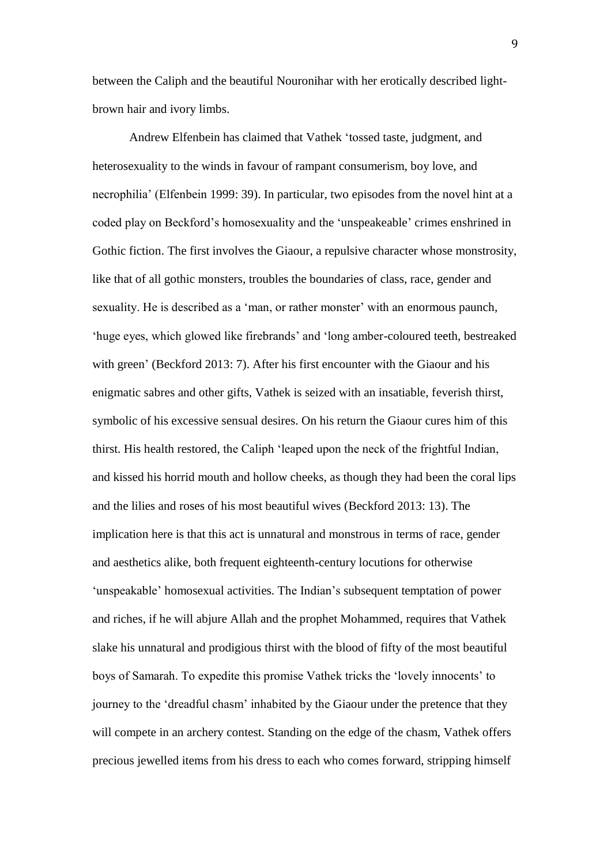between the Caliph and the beautiful Nouronihar with her erotically described lightbrown hair and ivory limbs.

Andrew Elfenbein has claimed that Vathek 'tossed taste, judgment, and heterosexuality to the winds in favour of rampant consumerism, boy love, and necrophilia' (Elfenbein 1999: 39). In particular, two episodes from the novel hint at a coded play on Beckford's homosexuality and the 'unspeakeable' crimes enshrined in Gothic fiction. The first involves the Giaour, a repulsive character whose monstrosity, like that of all gothic monsters, troubles the boundaries of class, race, gender and sexuality. He is described as a 'man, or rather monster' with an enormous paunch, 'huge eyes, which glowed like firebrands' and 'long amber-coloured teeth, bestreaked with green' (Beckford 2013: 7). After his first encounter with the Giaour and his enigmatic sabres and other gifts, Vathek is seized with an insatiable, feverish thirst, symbolic of his excessive sensual desires. On his return the Giaour cures him of this thirst. His health restored, the Caliph 'leaped upon the neck of the frightful Indian, and kissed his horrid mouth and hollow cheeks, as though they had been the coral lips and the lilies and roses of his most beautiful wives (Beckford 2013: 13). The implication here is that this act is unnatural and monstrous in terms of race, gender and aesthetics alike, both frequent eighteenth-century locutions for otherwise 'unspeakable' homosexual activities. The Indian's subsequent temptation of power and riches, if he will abjure Allah and the prophet Mohammed, requires that Vathek slake his unnatural and prodigious thirst with the blood of fifty of the most beautiful boys of Samarah. To expedite this promise Vathek tricks the 'lovely innocents' to journey to the 'dreadful chasm' inhabited by the Giaour under the pretence that they will compete in an archery contest. Standing on the edge of the chasm, Vathek offers precious jewelled items from his dress to each who comes forward, stripping himself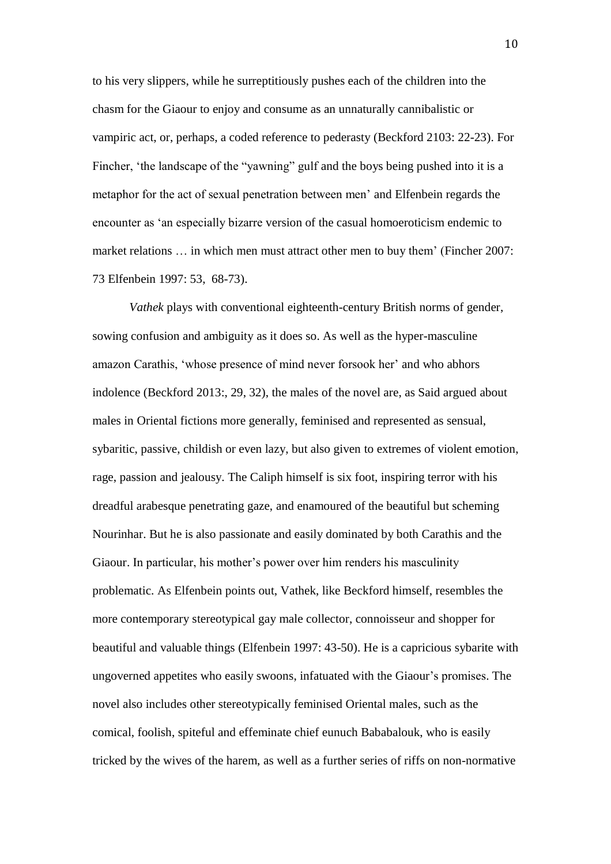to his very slippers, while he surreptitiously pushes each of the children into the chasm for the Giaour to enjoy and consume as an unnaturally cannibalistic or vampiric act, or, perhaps, a coded reference to pederasty (Beckford 2103: 22-23). For Fincher, 'the landscape of the "yawning" gulf and the boys being pushed into it is a metaphor for the act of sexual penetration between men' and Elfenbein regards the encounter as 'an especially bizarre version of the casual homoeroticism endemic to market relations … in which men must attract other men to buy them' (Fincher 2007: 73 Elfenbein 1997: 53, 68-73).

*Vathek* plays with conventional eighteenth-century British norms of gender, sowing confusion and ambiguity as it does so. As well as the hyper-masculine amazon Carathis, 'whose presence of mind never forsook her' and who abhors indolence (Beckford 2013:, 29, 32), the males of the novel are, as Said argued about males in Oriental fictions more generally, feminised and represented as sensual, sybaritic, passive, childish or even lazy, but also given to extremes of violent emotion, rage, passion and jealousy. The Caliph himself is six foot, inspiring terror with his dreadful arabesque penetrating gaze, and enamoured of the beautiful but scheming Nourinhar. But he is also passionate and easily dominated by both Carathis and the Giaour. In particular, his mother's power over him renders his masculinity problematic. As Elfenbein points out, Vathek, like Beckford himself, resembles the more contemporary stereotypical gay male collector, connoisseur and shopper for beautiful and valuable things (Elfenbein 1997: 43-50). He is a capricious sybarite with ungoverned appetites who easily swoons, infatuated with the Giaour's promises. The novel also includes other stereotypically feminised Oriental males, such as the comical, foolish, spiteful and effeminate chief eunuch Bababalouk, who is easily tricked by the wives of the harem, as well as a further series of riffs on non-normative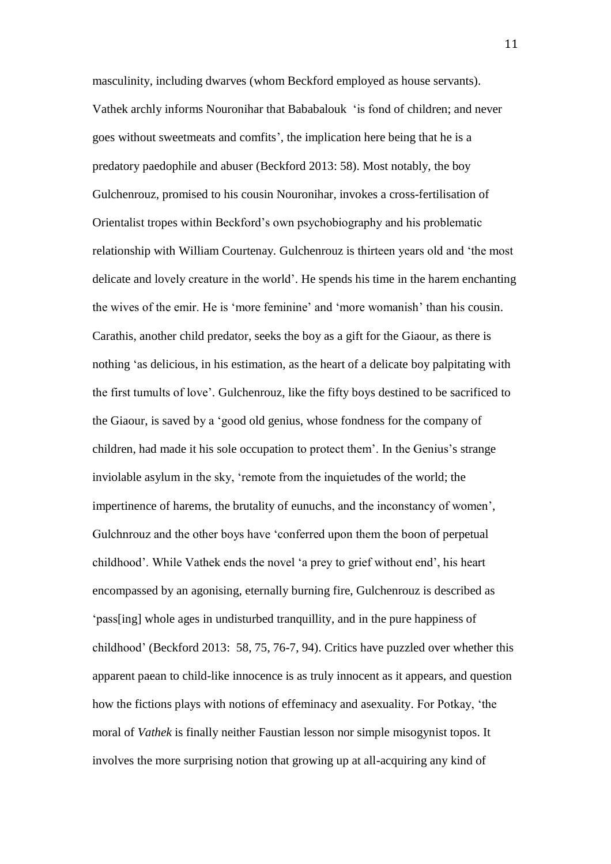masculinity, including dwarves (whom Beckford employed as house servants). Vathek archly informs Nouronihar that Bababalouk 'is fond of children; and never goes without sweetmeats and comfits', the implication here being that he is a predatory paedophile and abuser (Beckford 2013: 58). Most notably, the boy Gulchenrouz, promised to his cousin Nouronihar, invokes a cross-fertilisation of Orientalist tropes within Beckford's own psychobiography and his problematic relationship with William Courtenay. Gulchenrouz is thirteen years old and 'the most delicate and lovely creature in the world'. He spends his time in the harem enchanting the wives of the emir. He is 'more feminine' and 'more womanish' than his cousin. Carathis, another child predator, seeks the boy as a gift for the Giaour, as there is nothing 'as delicious, in his estimation, as the heart of a delicate boy palpitating with the first tumults of love'. Gulchenrouz, like the fifty boys destined to be sacrificed to the Giaour, is saved by a 'good old genius, whose fondness for the company of children, had made it his sole occupation to protect them'. In the Genius's strange inviolable asylum in the sky, 'remote from the inquietudes of the world; the impertinence of harems, the brutality of eunuchs, and the inconstancy of women', Gulchnrouz and the other boys have 'conferred upon them the boon of perpetual childhood'. While Vathek ends the novel 'a prey to grief without end', his heart encompassed by an agonising, eternally burning fire, Gulchenrouz is described as 'pass[ing] whole ages in undisturbed tranquillity, and in the pure happiness of childhood' (Beckford 2013: 58, 75, 76-7, 94). Critics have puzzled over whether this apparent paean to child-like innocence is as truly innocent as it appears, and question how the fictions plays with notions of effeminacy and asexuality. For Potkay, 'the moral of *Vathek* is finally neither Faustian lesson nor simple misogynist topos. It involves the more surprising notion that growing up at all-acquiring any kind of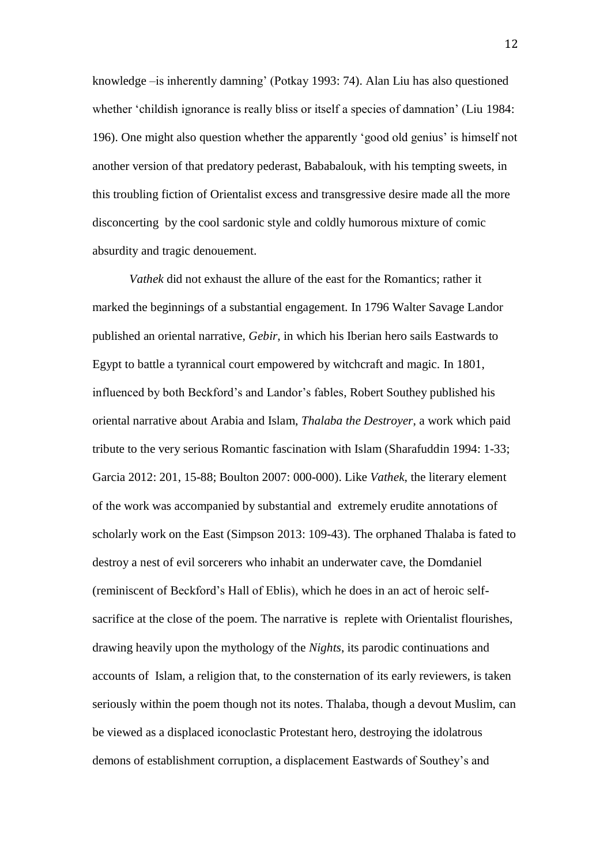knowledge –is inherently damning' (Potkay 1993: 74). Alan Liu has also questioned whether 'childish ignorance is really bliss or itself a species of damnation' (Liu 1984: 196). One might also question whether the apparently 'good old genius' is himself not another version of that predatory pederast, Bababalouk, with his tempting sweets, in this troubling fiction of Orientalist excess and transgressive desire made all the more disconcerting by the cool sardonic style and coldly humorous mixture of comic absurdity and tragic denouement.

*Vathek* did not exhaust the allure of the east for the Romantics; rather it marked the beginnings of a substantial engagement. In 1796 Walter Savage Landor published an oriental narrative, *Gebir*, in which his Iberian hero sails Eastwards to Egypt to battle a tyrannical court empowered by witchcraft and magic. In 1801, influenced by both Beckford's and Landor's fables, Robert Southey published his oriental narrative about Arabia and Islam, *Thalaba the Destroyer*, a work which paid tribute to the very serious Romantic fascination with Islam (Sharafuddin 1994: 1-33; Garcia 2012: 201, 15-88; Boulton 2007: 000-000). Like *Vathek*, the literary element of the work was accompanied by substantial and extremely erudite annotations of scholarly work on the East (Simpson 2013: 109-43). The orphaned Thalaba is fated to destroy a nest of evil sorcerers who inhabit an underwater cave, the Domdaniel (reminiscent of Beckford's Hall of Eblis), which he does in an act of heroic selfsacrifice at the close of the poem. The narrative is replete with Orientalist flourishes, drawing heavily upon the mythology of the *Nights*, its parodic continuations and accounts of Islam, a religion that, to the consternation of its early reviewers, is taken seriously within the poem though not its notes. Thalaba, though a devout Muslim, can be viewed as a displaced iconoclastic Protestant hero, destroying the idolatrous demons of establishment corruption, a displacement Eastwards of Southey's and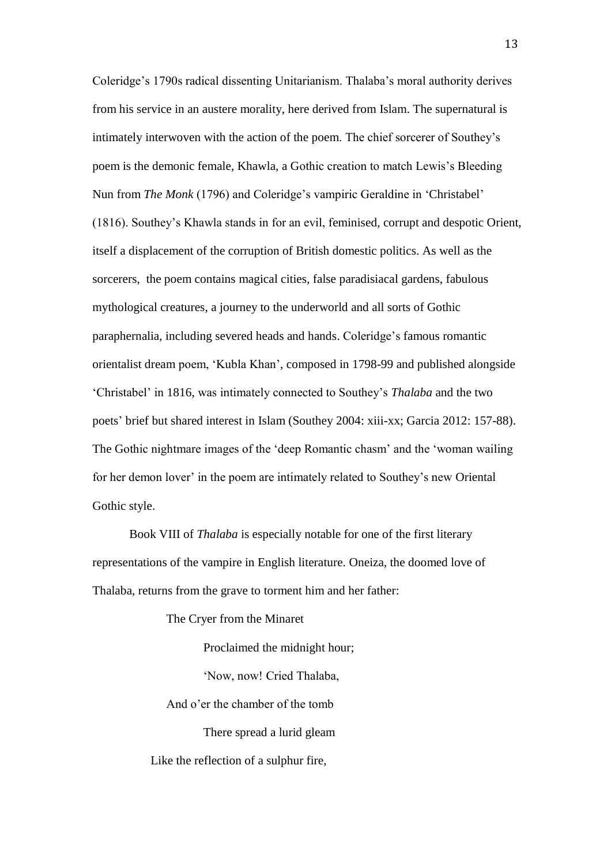Coleridge's 1790s radical dissenting Unitarianism. Thalaba's moral authority derives from his service in an austere morality, here derived from Islam. The supernatural is intimately interwoven with the action of the poem. The chief sorcerer of Southey's poem is the demonic female, Khawla, a Gothic creation to match Lewis's Bleeding Nun from *The Monk* (1796) and Coleridge's vampiric Geraldine in 'Christabel' (1816). Southey's Khawla stands in for an evil, feminised, corrupt and despotic Orient, itself a displacement of the corruption of British domestic politics. As well as the sorcerers, the poem contains magical cities, false paradisiacal gardens, fabulous mythological creatures, a journey to the underworld and all sorts of Gothic paraphernalia, including severed heads and hands. Coleridge's famous romantic orientalist dream poem, 'Kubla Khan', composed in 1798-99 and published alongside 'Christabel' in 1816, was intimately connected to Southey's *Thalaba* and the two poets' brief but shared interest in Islam (Southey 2004: xiii-xx; Garcia 2012: 157-88). The Gothic nightmare images of the 'deep Romantic chasm' and the 'woman wailing for her demon lover' in the poem are intimately related to Southey's new Oriental Gothic style.

Book VIII of *Thalaba* is especially notable for one of the first literary representations of the vampire in English literature. Oneiza, the doomed love of Thalaba, returns from the grave to torment him and her father:

The Cryer from the Minaret

Proclaimed the midnight hour;

'Now, now! Cried Thalaba,

And o'er the chamber of the tomb

There spread a lurid gleam

Like the reflection of a sulphur fire,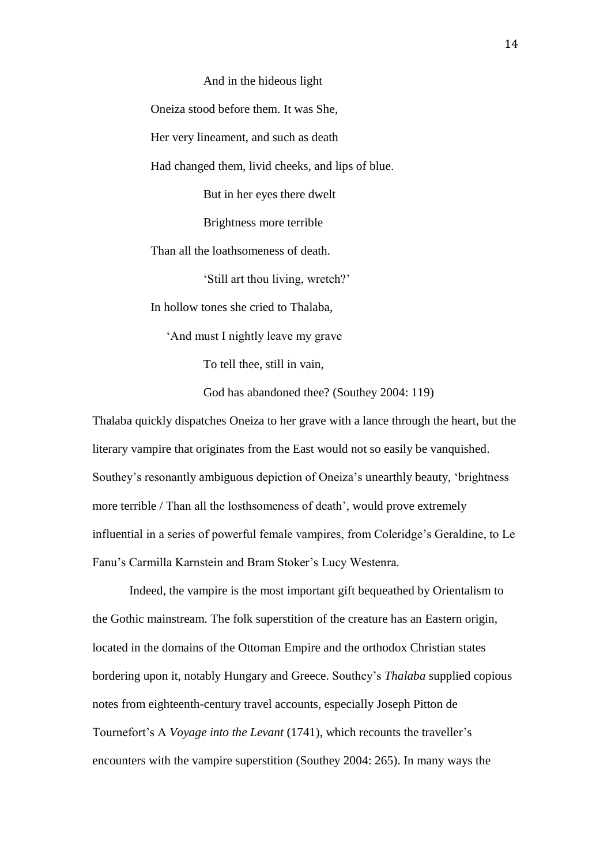## And in the hideous light

Oneiza stood before them. It was She,

Her very lineament, and such as death

Had changed them, livid cheeks, and lips of blue.

But in her eyes there dwelt

Brightness more terrible

Than all the loathsomeness of death.

'Still art thou living, wretch?'

In hollow tones she cried to Thalaba,

'And must I nightly leave my grave

To tell thee, still in vain,

God has abandoned thee? (Southey 2004: 119)

Thalaba quickly dispatches Oneiza to her grave with a lance through the heart, but the literary vampire that originates from the East would not so easily be vanquished. Southey's resonantly ambiguous depiction of Oneiza's unearthly beauty, 'brightness more terrible / Than all the losthsomeness of death', would prove extremely influential in a series of powerful female vampires, from Coleridge's Geraldine, to Le Fanu's Carmilla Karnstein and Bram Stoker's Lucy Westenra.

Indeed, the vampire is the most important gift bequeathed by Orientalism to the Gothic mainstream. The folk superstition of the creature has an Eastern origin, located in the domains of the Ottoman Empire and the orthodox Christian states bordering upon it, notably Hungary and Greece. Southey's *Thalaba* supplied copious notes from eighteenth-century travel accounts, especially Joseph Pitton de Tournefort's A *Voyage into the Levant* (1741), which recounts the traveller's encounters with the vampire superstition (Southey 2004: 265). In many ways the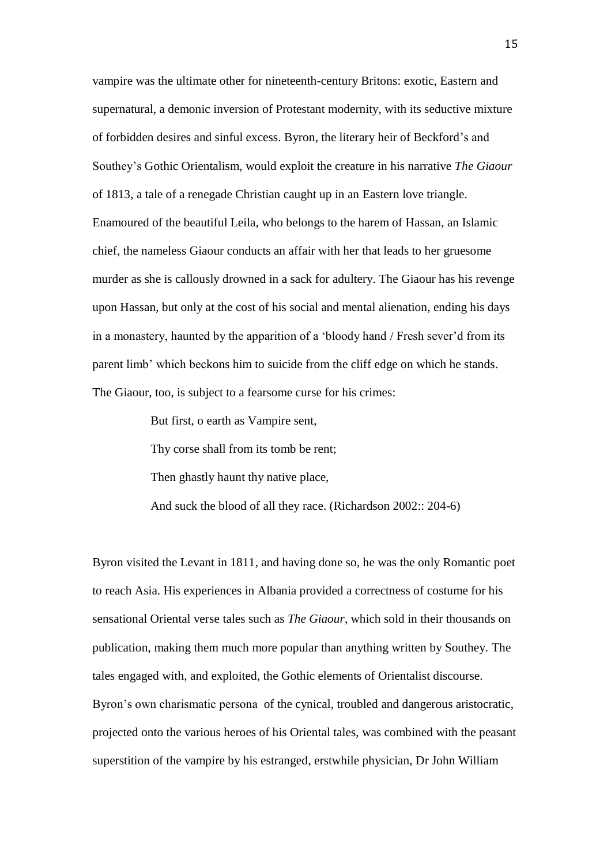vampire was the ultimate other for nineteenth-century Britons: exotic, Eastern and supernatural, a demonic inversion of Protestant modernity, with its seductive mixture of forbidden desires and sinful excess. Byron, the literary heir of Beckford's and Southey's Gothic Orientalism, would exploit the creature in his narrative *The Giaour* of 1813, a tale of a renegade Christian caught up in an Eastern love triangle. Enamoured of the beautiful Leila, who belongs to the harem of Hassan, an Islamic chief, the nameless Giaour conducts an affair with her that leads to her gruesome murder as she is callously drowned in a sack for adultery. The Giaour has his revenge upon Hassan, but only at the cost of his social and mental alienation, ending his days in a monastery, haunted by the apparition of a 'bloody hand / Fresh sever'd from its parent limb' which beckons him to suicide from the cliff edge on which he stands. The Giaour, too, is subject to a fearsome curse for his crimes:

> But first, o earth as Vampire sent, Thy corse shall from its tomb be rent; Then ghastly haunt thy native place, And suck the blood of all they race. (Richardson 2002:: 204-6)

Byron visited the Levant in 1811, and having done so, he was the only Romantic poet to reach Asia. His experiences in Albania provided a correctness of costume for his sensational Oriental verse tales such as *The Giaour*, which sold in their thousands on publication, making them much more popular than anything written by Southey. The tales engaged with, and exploited, the Gothic elements of Orientalist discourse. Byron's own charismatic persona of the cynical, troubled and dangerous aristocratic, projected onto the various heroes of his Oriental tales, was combined with the peasant superstition of the vampire by his estranged, erstwhile physician, Dr John William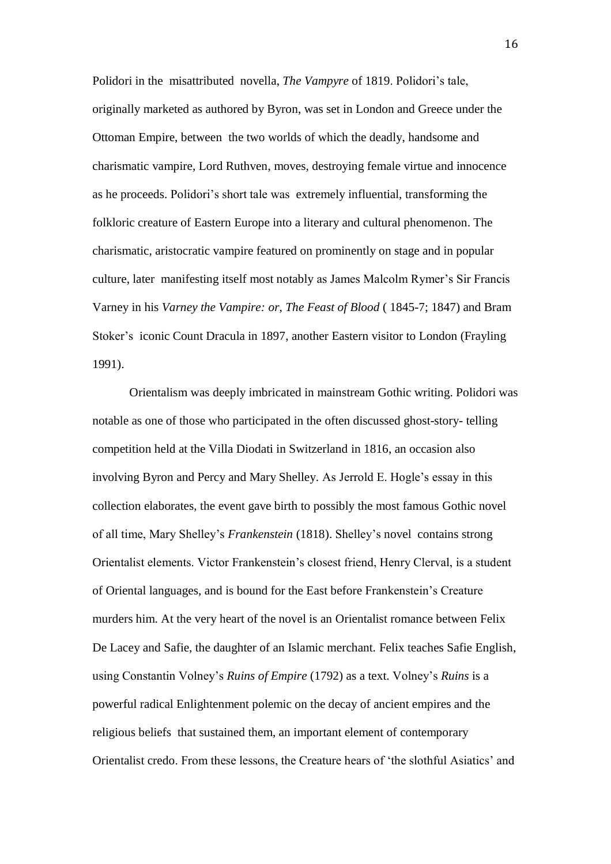Polidori in the misattributed novella, *The Vampyre* of 1819. Polidori's tale, originally marketed as authored by Byron, was set in London and Greece under the Ottoman Empire, between the two worlds of which the deadly, handsome and charismatic vampire, Lord Ruthven, moves, destroying female virtue and innocence as he proceeds. Polidori's short tale was extremely influential, transforming the folkloric creature of Eastern Europe into a literary and cultural phenomenon. The charismatic, aristocratic vampire featured on prominently on stage and in popular culture, later manifesting itself most notably as James Malcolm Rymer's Sir Francis Varney in his *Varney the Vampire: or, The Feast of Blood* ( 1845-7; 1847) and Bram Stoker's iconic Count Dracula in 1897, another Eastern visitor to London (Frayling 1991).

Orientalism was deeply imbricated in mainstream Gothic writing. Polidori was notable as one of those who participated in the often discussed ghost-story- telling competition held at the Villa Diodati in Switzerland in 1816, an occasion also involving Byron and Percy and Mary Shelley. As Jerrold E. Hogle's essay in this collection elaborates, the event gave birth to possibly the most famous Gothic novel of all time, Mary Shelley's *Frankenstein* (1818). Shelley's novel contains strong Orientalist elements. Victor Frankenstein's closest friend, Henry Clerval, is a student of Oriental languages, and is bound for the East before Frankenstein's Creature murders him. At the very heart of the novel is an Orientalist romance between Felix De Lacey and Safie, the daughter of an Islamic merchant. Felix teaches Safie English, using Constantin Volney's *Ruins of Empire* (1792) as a text. Volney's *Ruins* is a powerful radical Enlightenment polemic on the decay of ancient empires and the religious beliefs that sustained them, an important element of contemporary Orientalist credo. From these lessons, the Creature hears of 'the slothful Asiatics' and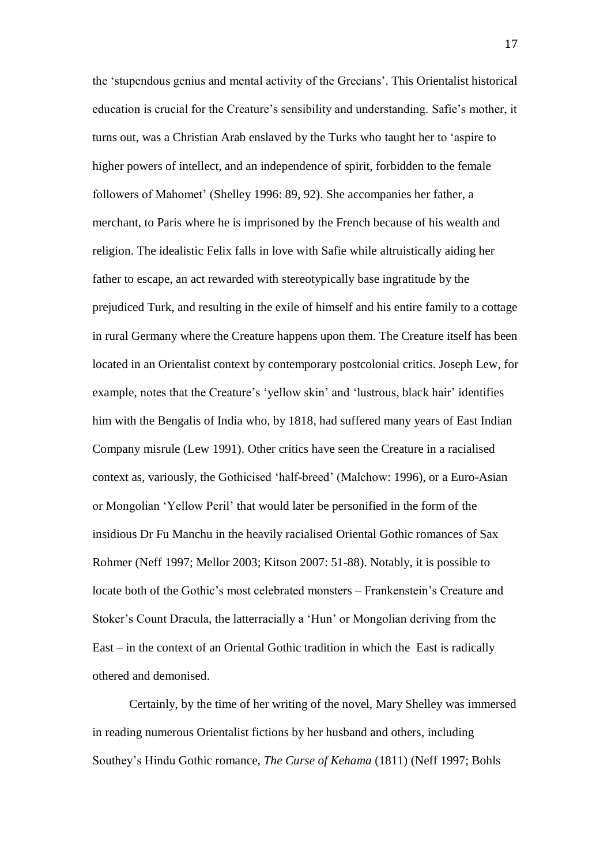the 'stupendous genius and mental activity of the Grecians'. This Orientalist historical education is crucial for the Creature's sensibility and understanding. Safie's mother, it turns out, was a Christian Arab enslaved by the Turks who taught her to 'aspire to higher powers of intellect, and an independence of spirit, forbidden to the female followers of Mahomet' (Shelley 1996: 89, 92). She accompanies her father, a merchant, to Paris where he is imprisoned by the French because of his wealth and religion. The idealistic Felix falls in love with Safie while altruistically aiding her father to escape, an act rewarded with stereotypically base ingratitude by the prejudiced Turk, and resulting in the exile of himself and his entire family to a cottage in rural Germany where the Creature happens upon them. The Creature itself has been located in an Orientalist context by contemporary postcolonial critics. Joseph Lew, for example, notes that the Creature's 'yellow skin' and 'lustrous, black hair' identifies him with the Bengalis of India who, by 1818, had suffered many years of East Indian Company misrule (Lew 1991). Other critics have seen the Creature in a racialised context as, variously, the Gothicised 'half-breed' (Malchow: 1996), or a Euro-Asian or Mongolian 'Yellow Peril' that would later be personified in the form of the insidious Dr Fu Manchu in the heavily racialised Oriental Gothic romances of Sax Rohmer (Neff 1997; Mellor 2003; Kitson 2007: 51-88). Notably, it is possible to locate both of the Gothic's most celebrated monsters – Frankenstein's Creature and Stoker's Count Dracula, the latterracially a 'Hun' or Mongolian deriving from the East – in the context of an Oriental Gothic tradition in which the East is radically othered and demonised.

Certainly, by the time of her writing of the novel, Mary Shelley was immersed in reading numerous Orientalist fictions by her husband and others, including Southey's Hindu Gothic romance, *The Curse of Kehama* (1811) (Neff 1997; Bohls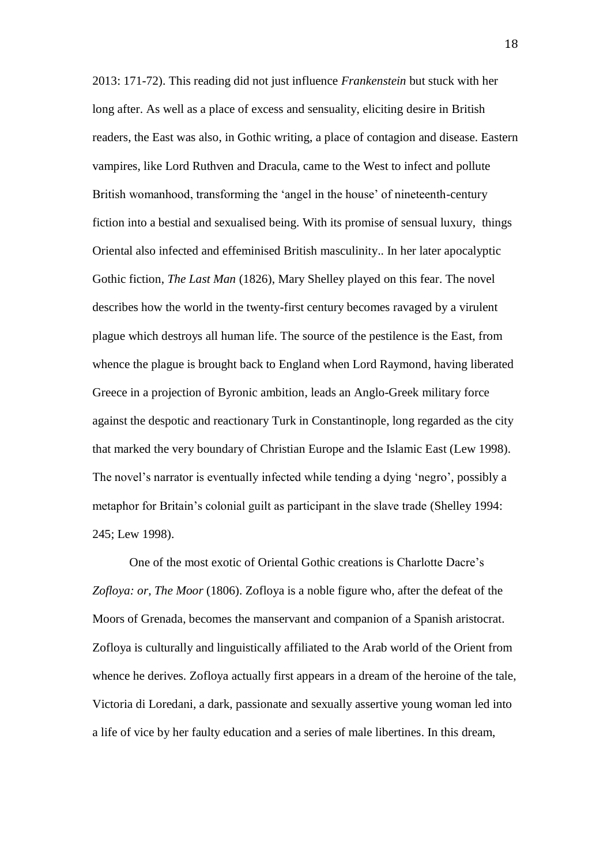2013: 171-72). This reading did not just influence *Frankenstein* but stuck with her long after. As well as a place of excess and sensuality, eliciting desire in British readers, the East was also, in Gothic writing, a place of contagion and disease. Eastern vampires, like Lord Ruthven and Dracula, came to the West to infect and pollute British womanhood, transforming the 'angel in the house' of nineteenth-century fiction into a bestial and sexualised being. With its promise of sensual luxury, things Oriental also infected and effeminised British masculinity.. In her later apocalyptic Gothic fiction, *The Last Man* (1826), Mary Shelley played on this fear. The novel describes how the world in the twenty-first century becomes ravaged by a virulent plague which destroys all human life. The source of the pestilence is the East, from whence the plague is brought back to England when Lord Raymond, having liberated Greece in a projection of Byronic ambition, leads an Anglo-Greek military force against the despotic and reactionary Turk in Constantinople, long regarded as the city that marked the very boundary of Christian Europe and the Islamic East (Lew 1998). The novel's narrator is eventually infected while tending a dying 'negro', possibly a metaphor for Britain's colonial guilt as participant in the slave trade (Shelley 1994: 245; Lew 1998).

One of the most exotic of Oriental Gothic creations is Charlotte Dacre's *Zofloya: or, The Moor* (1806). Zofloya is a noble figure who, after the defeat of the Moors of Grenada, becomes the manservant and companion of a Spanish aristocrat. Zofloya is culturally and linguistically affiliated to the Arab world of the Orient from whence he derives. Zofloya actually first appears in a dream of the heroine of the tale, Victoria di Loredani, a dark, passionate and sexually assertive young woman led into a life of vice by her faulty education and a series of male libertines. In this dream,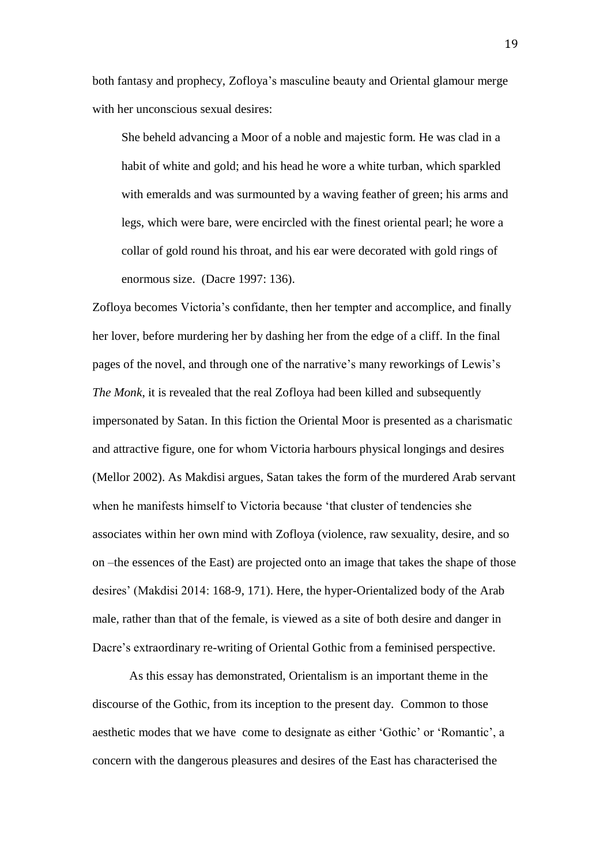both fantasy and prophecy, Zofloya's masculine beauty and Oriental glamour merge with her unconscious sexual desires:

She beheld advancing a Moor of a noble and majestic form. He was clad in a habit of white and gold; and his head he wore a white turban, which sparkled with emeralds and was surmounted by a waving feather of green; his arms and legs, which were bare, were encircled with the finest oriental pearl; he wore a collar of gold round his throat, and his ear were decorated with gold rings of enormous size. (Dacre 1997: 136).

Zofloya becomes Victoria's confidante, then her tempter and accomplice, and finally her lover, before murdering her by dashing her from the edge of a cliff. In the final pages of the novel, and through one of the narrative's many reworkings of Lewis's *The Monk*, it is revealed that the real Zofloya had been killed and subsequently impersonated by Satan. In this fiction the Oriental Moor is presented as a charismatic and attractive figure, one for whom Victoria harbours physical longings and desires (Mellor 2002). As Makdisi argues, Satan takes the form of the murdered Arab servant when he manifests himself to Victoria because 'that cluster of tendencies she associates within her own mind with Zofloya (violence, raw sexuality, desire, and so on –the essences of the East) are projected onto an image that takes the shape of those desires' (Makdisi 2014: 168-9, 171). Here, the hyper-Orientalized body of the Arab male, rather than that of the female, is viewed as a site of both desire and danger in Dacre's extraordinary re-writing of Oriental Gothic from a feminised perspective.

As this essay has demonstrated, Orientalism is an important theme in the discourse of the Gothic, from its inception to the present day. Common to those aesthetic modes that we have come to designate as either 'Gothic' or 'Romantic', a concern with the dangerous pleasures and desires of the East has characterised the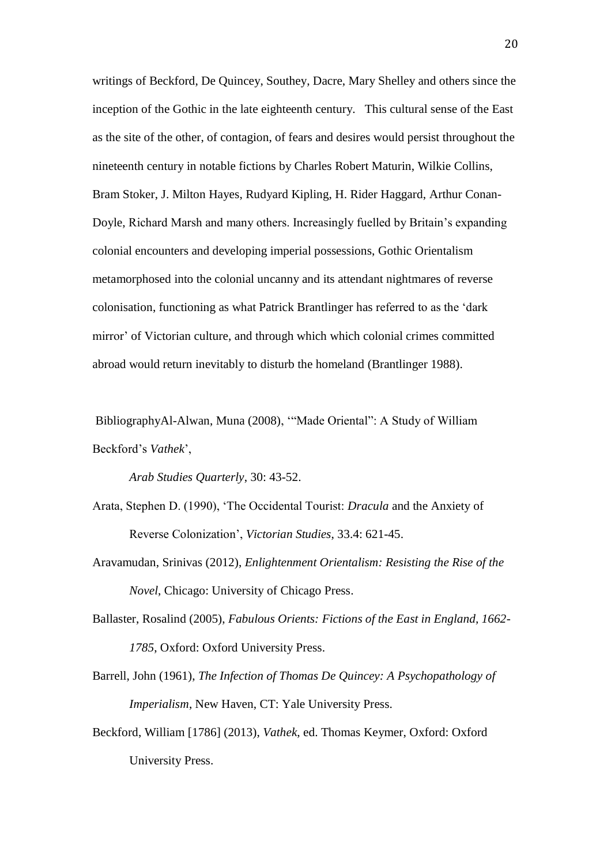writings of Beckford, De Quincey, Southey, Dacre, Mary Shelley and others since the inception of the Gothic in the late eighteenth century. This cultural sense of the East as the site of the other, of contagion, of fears and desires would persist throughout the nineteenth century in notable fictions by Charles Robert Maturin, Wilkie Collins, Bram Stoker, J. Milton Hayes, Rudyard Kipling, H. Rider Haggard, Arthur Conan-Doyle, Richard Marsh and many others. Increasingly fuelled by Britain's expanding colonial encounters and developing imperial possessions, Gothic Orientalism metamorphosed into the colonial uncanny and its attendant nightmares of reverse colonisation, functioning as what Patrick Brantlinger has referred to as the 'dark mirror' of Victorian culture, and through which which colonial crimes committed abroad would return inevitably to disturb the homeland (Brantlinger 1988).

BibliographyAl-Alwan, Muna (2008), '"Made Oriental": A Study of William Beckford's *Vathek*',

*Arab Studies Quarterly*, 30: 43-52.

- Arata, Stephen D. (1990), 'The Occidental Tourist: *Dracula* and the Anxiety of Reverse Colonization', *Victorian Studies*, 33.4: 621-45.
- Aravamudan, Srinivas (2012), *Enlightenment Orientalism: Resisting the Rise of the Novel*, Chicago: University of Chicago Press.
- Ballaster, Rosalind (2005), *Fabulous Orients: Fictions of the East in England, 1662- 1785*, Oxford: Oxford University Press.
- Barrell, John (1961), *The Infection of Thomas De Quincey: A Psychopathology of Imperialism*, New Haven, CT: Yale University Press.
- Beckford, William [1786] (2013), *Vathek*, ed. Thomas Keymer, Oxford: Oxford University Press.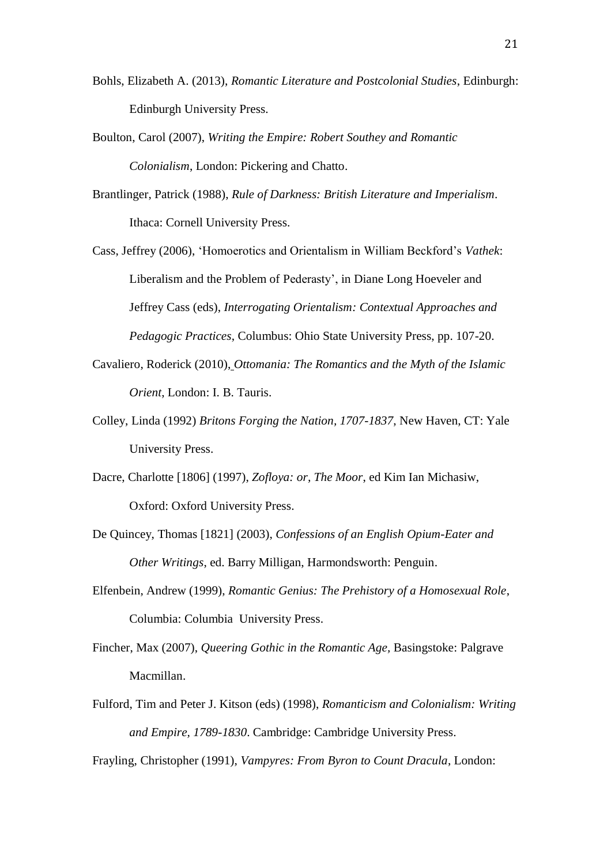- Bohls, Elizabeth A. (2013), *Romantic Literature and Postcolonial Studies*, Edinburgh: Edinburgh University Press.
- Boulton, Carol (2007), *Writing the Empire: Robert Southey and Romantic Colonialism*, London: Pickering and Chatto.
- Brantlinger, Patrick (1988), *Rule of Darkness: British Literature and Imperialism*. Ithaca: Cornell University Press.
- Cass, Jeffrey (2006), 'Homoerotics and Orientalism in William Beckford's *Vathek*: Liberalism and the Problem of Pederasty', in Diane Long Hoeveler and Jeffrey Cass (eds), *Interrogating Orientalism: Contextual Approaches and Pedagogic Practices*, Columbus: Ohio State University Press, pp. 107-20.
- Cavaliero, Roderick (2010), *Ottomania: The Romantics and the Myth of the Islamic Orient*, London: I. B. Tauris.
- Colley, Linda (1992) *Britons Forging the Nation, 1707-1837*, New Haven, CT: Yale University Press.
- Dacre, Charlotte [1806] (1997), *Zofloya: or, The Moor*, ed Kim Ian Michasiw, Oxford: Oxford University Press.
- De Quincey, Thomas [1821] (2003), *Confessions of an English Opium-Eater and Other Writings*, ed. Barry Milligan, Harmondsworth: Penguin.
- Elfenbein, Andrew (1999), *Romantic Genius: The Prehistory of a Homosexual Role*, Columbia: Columbia University Press.
- Fincher, Max (2007), *Queering Gothic in the Romantic Age,* Basingstoke: Palgrave Macmillan.
- Fulford, Tim and Peter J. Kitson (eds) (1998), *Romanticism and Colonialism: Writing and Empire, 1789-1830*. Cambridge: Cambridge University Press.

Frayling, Christopher (1991), *Vampyres: From Byron to Count Dracula*, London: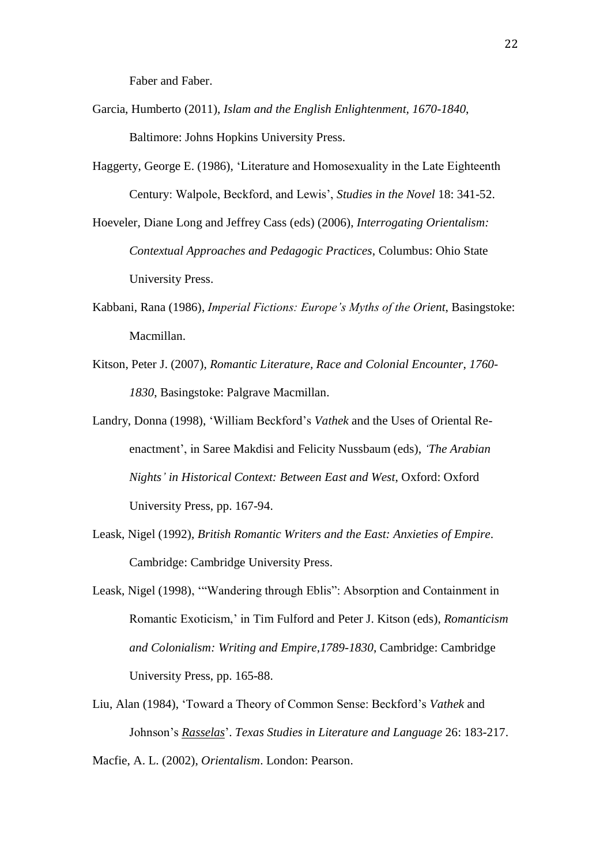Faber and Faber.

- Garcia, Humberto (2011), *Islam and the English Enlightenment, 1670-1840*, Baltimore: Johns Hopkins University Press.
- Haggerty, George E. (1986), 'Literature and Homosexuality in the Late Eighteenth Century: Walpole, Beckford, and Lewis', *Studies in the Novel* 18: 341-52.
- Hoeveler, Diane Long and Jeffrey Cass (eds) (2006), *Interrogating Orientalism: Contextual Approaches and Pedagogic Practices*, Columbus: Ohio State University Press.
- Kabbani, Rana (1986), *Imperial Fictions: Europe's Myths of the Orient*, Basingstoke: Macmillan.
- Kitson, Peter J. (2007), *Romantic Literature, Race and Colonial Encounter*, *1760- 1830*, Basingstoke: Palgrave Macmillan.
- Landry, Donna (1998), 'William Beckford's *Vathek* and the Uses of Oriental Reenactment', in Saree Makdisi and Felicity Nussbaum (eds), *'The Arabian Nights' in Historical Context: Between East and West*, Oxford: Oxford University Press, pp. 167-94.
- Leask, Nigel (1992), *British Romantic Writers and the East: Anxieties of Empire*. Cambridge: Cambridge University Press.
- Leask, Nigel (1998), '"Wandering through Eblis": Absorption and Containment in Romantic Exoticism,' in Tim Fulford and Peter J. Kitson (eds), *Romanticism and Colonialism: Writing and Empire,1789-1830*, Cambridge: Cambridge University Press, pp. 165-88.
- Liu, Alan (1984), 'Toward a Theory of Common Sense: Beckford's *Vathek* and Johnson's *Rasselas*'. *Texas Studies in Literature and Language* 26: 183-217. Macfie, A. L. (2002), *Orientalism*. London: Pearson.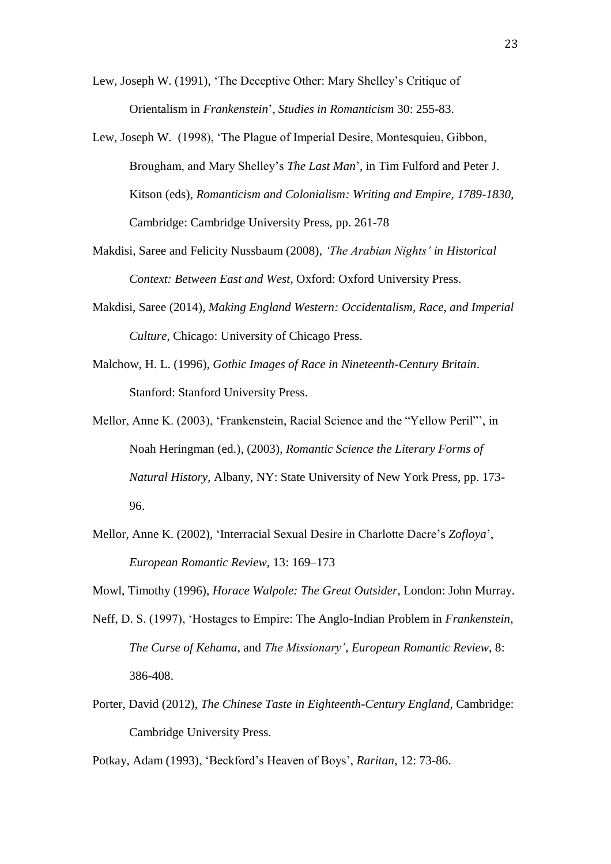Lew, Joseph W. (1991), 'The Deceptive Other: Mary Shelley's Critique of Orientalism in *Frankenstein*', *Studies in Romanticism* 30: 255-83.

- Lew, Joseph W. (1998), 'The Plague of Imperial Desire, Montesquieu, Gibbon, Brougham, and Mary Shelley's *The Last Man*', in Tim Fulford and Peter J. Kitson (eds), *Romanticism and Colonialism: Writing and Empire, 1789-1830*, Cambridge: Cambridge University Press, pp. 261-78
- Makdisi, Saree and Felicity Nussbaum (2008), *'The Arabian Nights' in Historical Context: Between East and West*, Oxford: Oxford University Press.
- Makdisi, Saree (2014), *Making England Western: Occidentalism, Race, and Imperial Culture*, Chicago: University of Chicago Press.
- Malchow, H. L. (1996), *Gothic Images of Race in Nineteenth-Century Britain*. Stanford: Stanford University Press.

Mellor, Anne K. (2003), 'Frankenstein, Racial Science and the "Yellow Peril"', in Noah Heringman (ed.), (2003), *Romantic Science the Literary Forms of Natural History*, Albany, NY: State University of New York Press, pp. 173- 96.

Mellor, Anne K. (2002), 'Interracial Sexual Desire in Charlotte Dacre's *Zofloya*', *European Romantic Review*, 13: 169–173

Mowl, Timothy (1996), *Horace Walpole: The Great Outsider*, London: John Murray.

- Neff, D. S. (1997), 'Hostages to Empire: The Anglo-Indian Problem in *Frankenstein*, *The Curse of Kehama*, and *The Missionary'*, *European Romantic Review*, 8: 386-408.
- Porter, David (2012), *The Chinese Taste in Eighteenth-Century England*, Cambridge: Cambridge University Press.

Potkay, Adam (1993), 'Beckford's Heaven of Boys', *Raritan*, 12: 73-86.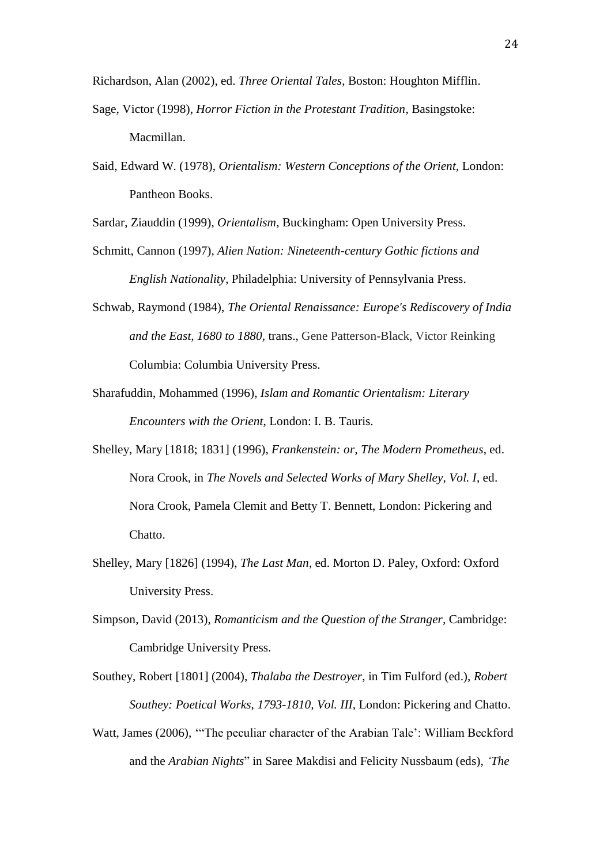Richardson, Alan (2002), ed. *Three Oriental Tales*, Boston: Houghton Mifflin.

- Sage, Victor (1998), *Horror Fiction in the Protestant Tradition*, Basingstoke: Macmillan.
- Said, Edward W. (1978), *Orientalism: Western Conceptions of the Orient,* London: Pantheon Books.

Sardar, Ziauddin (1999), *Orientalism*, Buckingham: Open University Press.

- Schmitt, Cannon (1997), *Alien Nation: Nineteenth-century Gothic fictions and English Nationality*, Philadelphia: University of Pennsylvania Press.
- Schwab, Raymond (1984), *The Oriental Renaissance: Europe's Rediscovery of India and the East, 1680 to 1880,* trans., Gene Patterson-Black, Victor Reinking Columbia: Columbia University Press.
- Sharafuddin, Mohammed (1996), *Islam and Romantic Orientalism: Literary Encounters with the Orient*, London: I. B. Tauris.
- Shelley, Mary [1818; 1831] (1996), *Frankenstein: or, The Modern Prometheus*, ed. Nora Crook, in *The Novels and Selected Works of Mary Shelley, Vol. I*, ed. Nora Crook, Pamela Clemit and Betty T. Bennett, London: Pickering and Chatto.
- Shelley, Mary [1826] (1994), *The Last Man*, ed. Morton D. Paley, Oxford: Oxford University Press.
- Simpson, David (2013), *Romanticism and the Question of the Stranger,* Cambridge: Cambridge University Press.
- Southey, Robert [1801] (2004), *Thalaba the Destroyer*, in Tim Fulford (ed.), *Robert Southey: Poetical Works*, *1793-1810, Vol. III,* London: Pickering and Chatto.
- Watt, James (2006), '"The peculiar character of the Arabian Tale': William Beckford and the *Arabian Nights*" in Saree Makdisi and Felicity Nussbaum (eds), *'The*